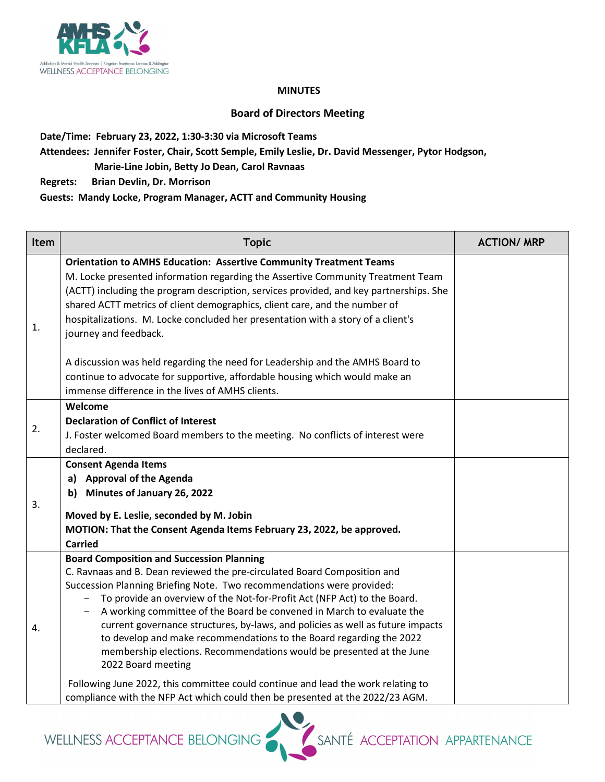

## **MINUTES**

## **Board of Directors Meeting**

**Date/Time: February 23, 2022, 1:30-3:30 via Microsoft Teams** 

**Attendees: Jennifer Foster, Chair, Scott Semple, Emily Leslie, Dr. David Messenger, Pytor Hodgson,**

 **Marie-Line Jobin, Betty Jo Dean, Carol Ravnaas** 

**Regrets: Brian Devlin, Dr. Morrison** 

**Guests: Mandy Locke, Program Manager, ACTT and Community Housing** 

| Item | <b>Topic</b>                                                                                                                                                                                                                                                                                                                                                                                                                                                                                                                                                                                                                                                          | <b>ACTION/ MRP</b> |
|------|-----------------------------------------------------------------------------------------------------------------------------------------------------------------------------------------------------------------------------------------------------------------------------------------------------------------------------------------------------------------------------------------------------------------------------------------------------------------------------------------------------------------------------------------------------------------------------------------------------------------------------------------------------------------------|--------------------|
| 1.   | <b>Orientation to AMHS Education: Assertive Community Treatment Teams</b><br>M. Locke presented information regarding the Assertive Community Treatment Team<br>(ACTT) including the program description, services provided, and key partnerships. She<br>shared ACTT metrics of client demographics, client care, and the number of<br>hospitalizations. M. Locke concluded her presentation with a story of a client's<br>journey and feedback.<br>A discussion was held regarding the need for Leadership and the AMHS Board to<br>continue to advocate for supportive, affordable housing which would make an<br>immense difference in the lives of AMHS clients. |                    |
| 2.   | Welcome<br><b>Declaration of Conflict of Interest</b><br>J. Foster welcomed Board members to the meeting. No conflicts of interest were<br>declared.                                                                                                                                                                                                                                                                                                                                                                                                                                                                                                                  |                    |
| 3.   | <b>Consent Agenda Items</b><br>a) Approval of the Agenda<br>Minutes of January 26, 2022<br>b)<br>Moved by E. Leslie, seconded by M. Jobin<br>MOTION: That the Consent Agenda Items February 23, 2022, be approved.<br><b>Carried</b>                                                                                                                                                                                                                                                                                                                                                                                                                                  |                    |
| 4.   | <b>Board Composition and Succession Planning</b><br>C. Ravnaas and B. Dean reviewed the pre-circulated Board Composition and<br>Succession Planning Briefing Note. Two recommendations were provided:<br>To provide an overview of the Not-for-Profit Act (NFP Act) to the Board.<br>A working committee of the Board be convened in March to evaluate the<br>current governance structures, by-laws, and policies as well as future impacts<br>to develop and make recommendations to the Board regarding the 2022<br>membership elections. Recommendations would be presented at the June<br>2022 Board meeting                                                     |                    |
|      | Following June 2022, this committee could continue and lead the work relating to<br>compliance with the NFP Act which could then be presented at the 2022/23 AGM.                                                                                                                                                                                                                                                                                                                                                                                                                                                                                                     |                    |

WELLNESS ACCEPTANCE BELONGING

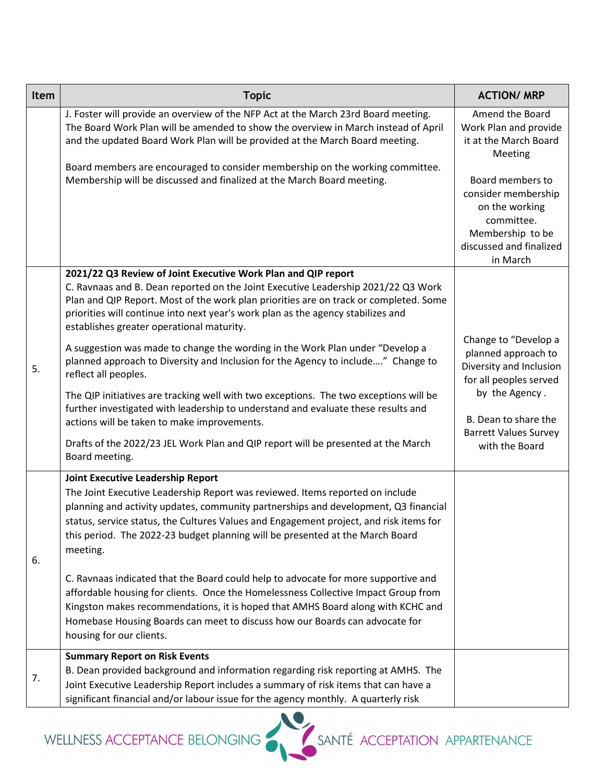| Item | <b>Topic</b>                                                                                                                                                                                                                                                                                                                                                                                                                                                                                                                                                                                                                                                                                                                                                                                                                                                                                                  | <b>ACTION/ MRP</b>                                                                                                                                                                           |
|------|---------------------------------------------------------------------------------------------------------------------------------------------------------------------------------------------------------------------------------------------------------------------------------------------------------------------------------------------------------------------------------------------------------------------------------------------------------------------------------------------------------------------------------------------------------------------------------------------------------------------------------------------------------------------------------------------------------------------------------------------------------------------------------------------------------------------------------------------------------------------------------------------------------------|----------------------------------------------------------------------------------------------------------------------------------------------------------------------------------------------|
|      | J. Foster will provide an overview of the NFP Act at the March 23rd Board meeting.<br>The Board Work Plan will be amended to show the overview in March instead of April<br>and the updated Board Work Plan will be provided at the March Board meeting.                                                                                                                                                                                                                                                                                                                                                                                                                                                                                                                                                                                                                                                      | Amend the Board<br>Work Plan and provide<br>it at the March Board<br>Meeting                                                                                                                 |
|      | Board members are encouraged to consider membership on the working committee.<br>Membership will be discussed and finalized at the March Board meeting.                                                                                                                                                                                                                                                                                                                                                                                                                                                                                                                                                                                                                                                                                                                                                       | Board members to<br>consider membership<br>on the working<br>committee.<br>Membership to be<br>discussed and finalized<br>in March                                                           |
| 5.   | 2021/22 Q3 Review of Joint Executive Work Plan and QIP report<br>C. Ravnaas and B. Dean reported on the Joint Executive Leadership 2021/22 Q3 Work<br>Plan and QIP Report. Most of the work plan priorities are on track or completed. Some<br>priorities will continue into next year's work plan as the agency stabilizes and<br>establishes greater operational maturity.<br>A suggestion was made to change the wording in the Work Plan under "Develop a<br>planned approach to Diversity and Inclusion for the Agency to include" Change to<br>reflect all peoples.<br>The QIP initiatives are tracking well with two exceptions. The two exceptions will be<br>further investigated with leadership to understand and evaluate these results and<br>actions will be taken to make improvements.<br>Drafts of the 2022/23 JEL Work Plan and QIP report will be presented at the March<br>Board meeting. | Change to "Develop a<br>planned approach to<br>Diversity and Inclusion<br>for all peoples served<br>by the Agency.<br>B. Dean to share the<br><b>Barrett Values Survey</b><br>with the Board |
| 6.   | <b>Joint Executive Leadership Report</b><br>The Joint Executive Leadership Report was reviewed. Items reported on include<br>planning and activity updates, community partnerships and development, Q3 financial<br>status, service status, the Cultures Values and Engagement project, and risk items for<br>this period. The 2022-23 budget planning will be presented at the March Board<br>meeting.<br>C. Ravnaas indicated that the Board could help to advocate for more supportive and<br>affordable housing for clients. Once the Homelessness Collective Impact Group from<br>Kingston makes recommendations, it is hoped that AMHS Board along with KCHC and<br>Homebase Housing Boards can meet to discuss how our Boards can advocate for<br>housing for our clients.                                                                                                                             |                                                                                                                                                                                              |
| 7.   | <b>Summary Report on Risk Events</b><br>B. Dean provided background and information regarding risk reporting at AMHS. The<br>Joint Executive Leadership Report includes a summary of risk items that can have a<br>significant financial and/or labour issue for the agency monthly. A quarterly risk                                                                                                                                                                                                                                                                                                                                                                                                                                                                                                                                                                                                         |                                                                                                                                                                                              |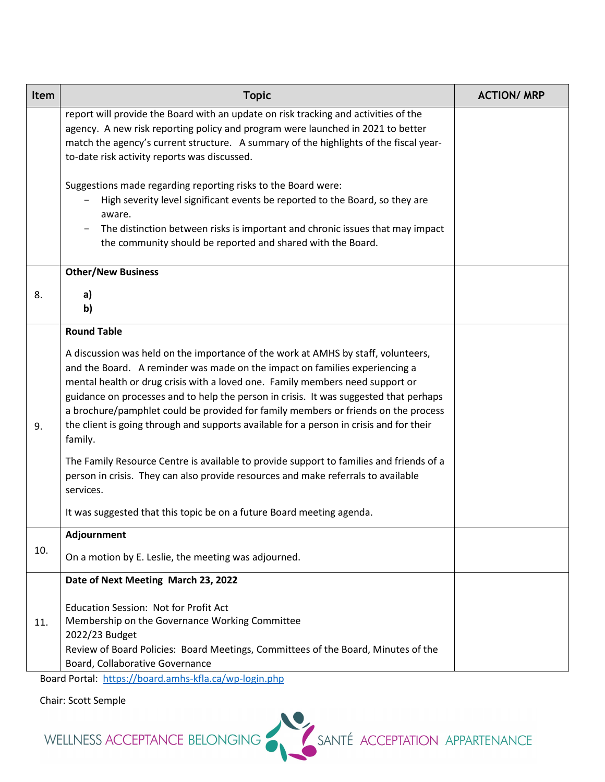| Item | <b>Topic</b>                                                                                                                                                                                                                                                                                                                                                                                                                                                                                                                                                                                                                                                                                                                                                                                                                       | <b>ACTION/ MRP</b> |
|------|------------------------------------------------------------------------------------------------------------------------------------------------------------------------------------------------------------------------------------------------------------------------------------------------------------------------------------------------------------------------------------------------------------------------------------------------------------------------------------------------------------------------------------------------------------------------------------------------------------------------------------------------------------------------------------------------------------------------------------------------------------------------------------------------------------------------------------|--------------------|
|      | report will provide the Board with an update on risk tracking and activities of the<br>agency. A new risk reporting policy and program were launched in 2021 to better<br>match the agency's current structure. A summary of the highlights of the fiscal year-<br>to-date risk activity reports was discussed.                                                                                                                                                                                                                                                                                                                                                                                                                                                                                                                    |                    |
|      | Suggestions made regarding reporting risks to the Board were:<br>High severity level significant events be reported to the Board, so they are<br>aware.<br>The distinction between risks is important and chronic issues that may impact<br>the community should be reported and shared with the Board.                                                                                                                                                                                                                                                                                                                                                                                                                                                                                                                            |                    |
|      | <b>Other/New Business</b>                                                                                                                                                                                                                                                                                                                                                                                                                                                                                                                                                                                                                                                                                                                                                                                                          |                    |
| 8.   | a)<br>b)                                                                                                                                                                                                                                                                                                                                                                                                                                                                                                                                                                                                                                                                                                                                                                                                                           |                    |
| 9.   | <b>Round Table</b><br>A discussion was held on the importance of the work at AMHS by staff, volunteers,<br>and the Board. A reminder was made on the impact on families experiencing a<br>mental health or drug crisis with a loved one. Family members need support or<br>guidance on processes and to help the person in crisis. It was suggested that perhaps<br>a brochure/pamphlet could be provided for family members or friends on the process<br>the client is going through and supports available for a person in crisis and for their<br>family.<br>The Family Resource Centre is available to provide support to families and friends of a<br>person in crisis. They can also provide resources and make referrals to available<br>services.<br>It was suggested that this topic be on a future Board meeting agenda. |                    |
|      | Adjournment                                                                                                                                                                                                                                                                                                                                                                                                                                                                                                                                                                                                                                                                                                                                                                                                                        |                    |
| 10.  | On a motion by E. Leslie, the meeting was adjourned.                                                                                                                                                                                                                                                                                                                                                                                                                                                                                                                                                                                                                                                                                                                                                                               |                    |
| 11.  | Date of Next Meeting March 23, 2022<br>Education Session: Not for Profit Act<br>Membership on the Governance Working Committee<br>2022/23 Budget<br>Review of Board Policies: Board Meetings, Committees of the Board, Minutes of the<br>Board, Collaborative Governance                                                                                                                                                                                                                                                                                                                                                                                                                                                                                                                                                           |                    |
|      | Board Portal: https://board.amhs-kfla.ca/wp-login.php                                                                                                                                                                                                                                                                                                                                                                                                                                                                                                                                                                                                                                                                                                                                                                              |                    |

Chair: Scott Semple